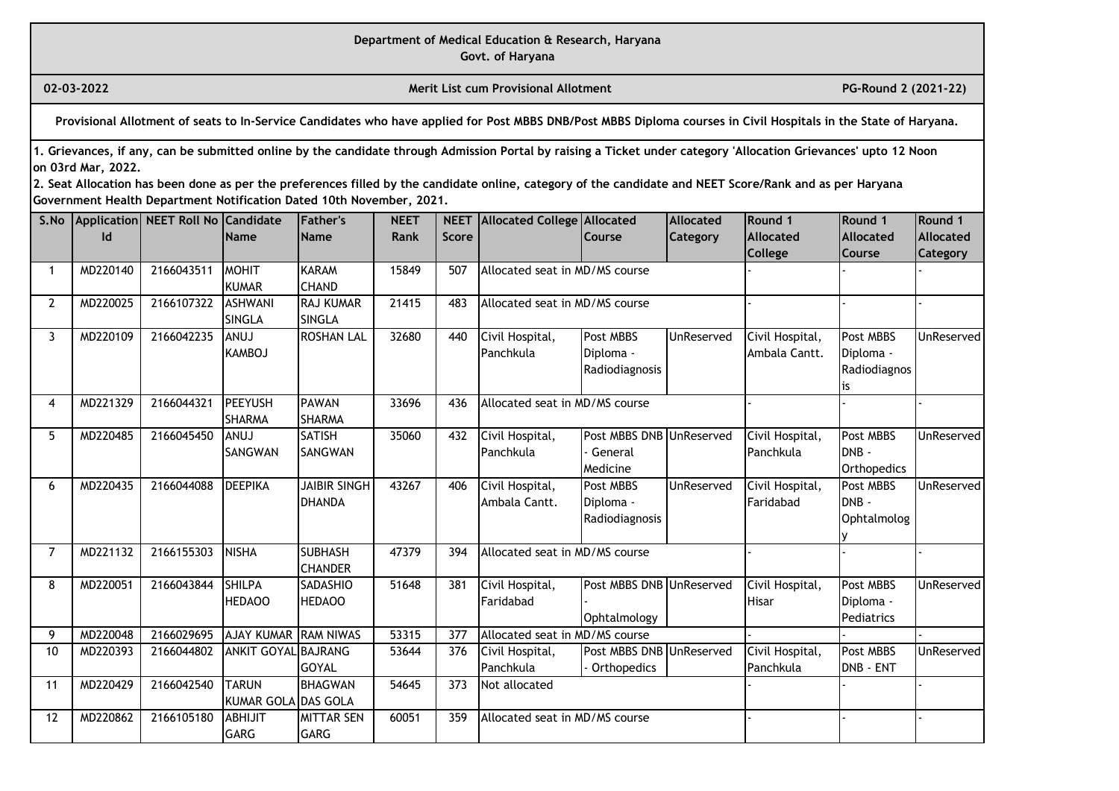**Govt. of Haryana**

**02-03-2022 Merit List cum Provisional Allotment PG-Round 2 (2021-22)** 

**Provisional Allotment of seats to In-Service Candidates who have applied for Post MBBS DNB/Post MBBS Diploma courses in Civil Hospitals in the State of Haryana.**

**1. Grievances, if any, can be submitted online by the candidate through Admission Portal by raising a Ticket under category 'Allocation Grievances' upto 12 Noon on 03rd Mar, 2022.**

| S.No           |          | Application NEET Roll No Candidate |                      | Father's            | <b>NEET</b> |              | <b>NEET</b> Allocated College Allocated |                          | Allocated  | Round 1          | Round 1          | Round 1           |
|----------------|----------|------------------------------------|----------------------|---------------------|-------------|--------------|-----------------------------------------|--------------------------|------------|------------------|------------------|-------------------|
|                | ld       |                                    | <b>Name</b>          | <b>Name</b>         | <b>Rank</b> | <b>Score</b> |                                         | Course                   | Category   | <b>Allocated</b> | <b>Allocated</b> | <b>Allocated</b>  |
|                |          |                                    |                      |                     |             |              |                                         |                          |            | College          | Course           | Category          |
| $\mathbf 1$    | MD220140 | 2166043511                         | <b>MOHIT</b>         | KARAM               | 15849       | 507          | Allocated seat in MD/MS course          |                          |            |                  |                  |                   |
|                |          |                                    | <b>KUMAR</b>         | <b>CHAND</b>        |             |              |                                         |                          |            |                  |                  |                   |
| $\overline{2}$ | MD220025 | 2166107322                         | <b>ASHWANI</b>       | <b>RAJ KUMAR</b>    | 21415       | 483          | Allocated seat in MD/MS course          |                          |            |                  |                  |                   |
|                |          |                                    | <b>SINGLA</b>        | SINGLA              |             |              |                                         |                          |            |                  |                  |                   |
| 3              | MD220109 | 2166042235                         | <b>LUNA</b>          | <b>ROSHAN LAL</b>   | 32680       | 440          | Civil Hospital,                         | Post MBBS                | UnReserved | Civil Hospital,  | Post MBBS        | <b>UnReserved</b> |
|                |          |                                    | <b>KAMBOJ</b>        |                     |             |              | Panchkula                               | Diploma -                |            | Ambala Cantt.    | Diploma -        |                   |
|                |          |                                    |                      |                     |             |              |                                         | Radiodiagnosis           |            |                  | Radiodiagnos     |                   |
|                |          |                                    |                      |                     |             |              |                                         |                          |            |                  | İS.              |                   |
| 4              | MD221329 | 2166044321                         | <b>PEEYUSH</b>       | <b>PAWAN</b>        | 33696       | 436          | Allocated seat in MD/MS course          |                          |            |                  |                  |                   |
|                |          |                                    | <b>SHARMA</b>        | <b>SHARMA</b>       |             |              |                                         |                          |            |                  |                  |                   |
| 5              | MD220485 | 2166045450                         | <b>LUNA</b>          | <b>SATISH</b>       | 35060       | 432          | Civil Hospital,                         | Post MBBS DNB UnReserved |            | Civil Hospital,  | Post MBBS        | UnReserved        |
|                |          |                                    | SANGWAN              | <b>SANGWAN</b>      |             |              | Panchkula                               | General                  |            | Panchkula        | Idnb -           |                   |
|                |          |                                    |                      |                     |             |              |                                         | Medicine                 |            |                  | Orthopedics      |                   |
| 6              | MD220435 | 2166044088                         | <b>DEEPIKA</b>       | <b>JAIBIR SINGH</b> | 43267       | 406          | Civil Hospital,                         | Post MBBS                | UnReserved | Civil Hospital,  | Post MBBS        | UnReserved        |
|                |          |                                    |                      | DHANDA              |             |              | Ambala Cantt.                           | Diploma -                |            | Faridabad        | DNB-             |                   |
|                |          |                                    |                      |                     |             |              |                                         | Radiodiagnosis           |            |                  | Ophtalmolog      |                   |
|                |          |                                    |                      |                     |             |              |                                         |                          |            |                  |                  |                   |
| $\overline{7}$ | MD221132 | 2166155303                         | <b>NISHA</b>         | <b>SUBHASH</b>      | 47379       | 394          | Allocated seat in MD/MS course          |                          |            |                  |                  |                   |
|                |          |                                    |                      | <b>CHANDER</b>      |             |              |                                         |                          |            |                  |                  |                   |
| 8              | MD220051 | 2166043844                         | <b>SHILPA</b>        | <b>SADASHIO</b>     | 51648       | 381          | Civil Hospital,                         | Post MBBS DNB UnReserved |            | Civil Hospital,  | Post MBBS        | UnReserved        |
|                |          |                                    | <b>HEDAOO</b>        | <b>HEDAOO</b>       |             |              | Faridabad                               |                          |            | <b>Hisar</b>     | Diploma -        |                   |
|                |          |                                    |                      |                     |             |              |                                         | Ophtalmology             |            |                  | Pediatrics       |                   |
| 9              | MD220048 | 2166029695                         | AJAY KUMAR RAM NIWAS |                     | 53315       | 377          | Allocated seat in MD/MS course          |                          |            |                  |                  |                   |
| 10             | MD220393 | 2166044802                         | ANKIT GOYAL BAJRANG  |                     | 53644       | 376          | Civil Hospital,                         | Post MBBS DNB UnReserved |            | Civil Hospital,  | Post MBBS        | UnReserved        |
|                |          |                                    |                      | <b>GOYAL</b>        |             |              | Panchkula                               | Orthopedics              |            | Panchkula        | DNB - ENT        |                   |
| 11             | MD220429 | 2166042540                         | <b>TARUN</b>         | <b>BHAGWAN</b>      | 54645       | 373          | Not allocated                           |                          |            |                  |                  |                   |
|                |          |                                    | KUMAR GOLA DAS GOLA  |                     |             |              |                                         |                          |            |                  |                  |                   |
| 12             | MD220862 | 2166105180                         | <b>ABHIJIT</b>       | <b>IMITTAR SEN</b>  | 60051       | 359          | Allocated seat in MD/MS course          |                          |            |                  |                  |                   |
|                |          |                                    | <b>GARG</b>          | <b>GARG</b>         |             |              |                                         |                          |            |                  |                  |                   |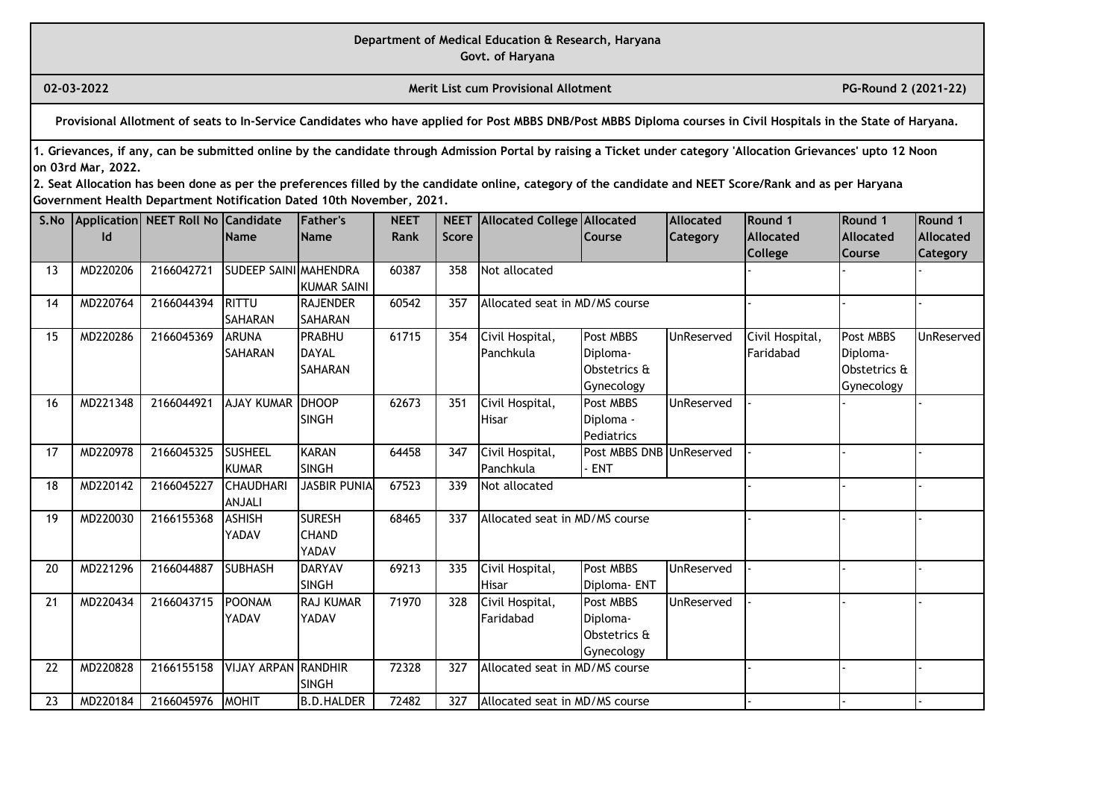**Govt. of Haryana**

**02-03-2022 Merit List cum Provisional Allotment PG-Round 2 (2021-22)** 

**Provisional Allotment of seats to In-Service Candidates who have applied for Post MBBS DNB/Post MBBS Diploma courses in Civil Hospitals in the State of Haryana.**

**1. Grievances, if any, can be submitted online by the candidate through Admission Portal by raising a Ticket under category 'Allocation Grievances' upto 12 Noon on 03rd Mar, 2022.**

| S.No |          | Application NEET Roll No Candidate |                              | Father's          | <b>NEET</b> |              | <b>NEET Allocated College Allocated</b> |                          | <b>Allocated</b>  | Round 1         | Round 1          | Round 1          |
|------|----------|------------------------------------|------------------------------|-------------------|-------------|--------------|-----------------------------------------|--------------------------|-------------------|-----------------|------------------|------------------|
|      | ld       |                                    | <b>Name</b>                  | <b>Name</b>       | <b>Rank</b> | <b>Score</b> |                                         | Course                   | <b>Category</b>   | Allocated       | <b>Allocated</b> | <b>Allocated</b> |
|      |          |                                    |                              |                   |             |              |                                         |                          |                   | <b>College</b>  | <b>Course</b>    | Category         |
| 13   | MD220206 | 2166042721                         | <b>SUDEEP SAINI MAHENDRA</b> |                   | 60387       | 358          | Not allocated                           |                          |                   |                 |                  |                  |
|      |          |                                    |                              | KUMAR SAINI       |             |              |                                         |                          |                   |                 |                  |                  |
| 14   | MD220764 | 2166044394                         | <b>RITTU</b>                 | RAJENDER          | 60542       | 357          | Allocated seat in MD/MS course          |                          |                   |                 |                  |                  |
|      |          |                                    | <b>SAHARAN</b>               | <b>SAHARAN</b>    |             |              |                                         |                          |                   |                 |                  |                  |
| 15   | MD220286 | 2166045369                         | <b>ARUNA</b>                 | PRABHU            | 61715       | 354          | Civil Hospital,                         | <b>Post MBBS</b>         | UnReserved        | Civil Hospital, | Post MBBS        | UnReserved       |
|      |          |                                    | <b>SAHARAN</b>               | <b>DAYAL</b>      |             |              | Panchkula                               | Diploma-                 |                   | Faridabad       | Diploma-         |                  |
|      |          |                                    |                              | <b>SAHARAN</b>    |             |              |                                         | Obstetrics &             |                   |                 | Obstetrics &     |                  |
|      |          |                                    |                              |                   |             |              |                                         | Gynecology               |                   |                 | Gynecology       |                  |
| 16   | MD221348 | 2166044921                         | <b>AJAY KUMAR</b>            | <b>IDHOOP</b>     | 62673       | 351          | Civil Hospital,                         | Post MBBS                | UnReserved        |                 |                  |                  |
|      |          |                                    |                              | <b>SINGH</b>      |             |              | <b>Hisar</b>                            | Diploma -                |                   |                 |                  |                  |
|      |          |                                    |                              |                   |             |              |                                         | <b>Pediatrics</b>        |                   |                 |                  |                  |
| 17   | MD220978 | 2166045325                         | <b>SUSHEEL</b>               | KARAN             | 64458       | 347          | Civil Hospital,                         | Post MBBS DNB UnReserved |                   |                 |                  |                  |
|      |          |                                    | <b>KUMAR</b>                 | <b>SINGH</b>      |             |              | Panchkula                               | <b>ENT</b>               |                   |                 |                  |                  |
| 18   | MD220142 | 2166045227                         | <b>CHAUDHAR</b>              | JASBIR PUNIA      | 67523       | 339          | Not allocated                           |                          |                   |                 |                  |                  |
|      |          |                                    | ANJALI                       |                   |             |              |                                         |                          |                   |                 |                  |                  |
| 19   | MD220030 | 2166155368                         | <b>ASHISH</b>                | <b>SURESH</b>     | 68465       | 337          | Allocated seat in MD/MS course          |                          |                   |                 |                  |                  |
|      |          |                                    | YADAV                        | <b>CHAND</b>      |             |              |                                         |                          |                   |                 |                  |                  |
|      |          |                                    |                              | YADAV             |             |              |                                         |                          |                   |                 |                  |                  |
| 20   | MD221296 | 2166044887                         | <b>SUBHASH</b>               | <b>DARYAV</b>     | 69213       | 335          | Civil Hospital,                         | Post MBBS                | <b>UnReserved</b> |                 |                  |                  |
|      |          |                                    |                              | <b>SINGH</b>      |             |              | Hisar                                   | Diploma-ENT              |                   |                 |                  |                  |
| 21   | MD220434 | 2166043715                         | <b>POONAM</b>                | <b>RAJ KUMAR</b>  | 71970       | 328          | Civil Hospital,                         | <b>Post MBBS</b>         | UnReserved        |                 |                  |                  |
|      |          |                                    | YADAV                        | YADAV             |             |              | Faridabad                               | Diploma-                 |                   |                 |                  |                  |
|      |          |                                    |                              |                   |             |              |                                         | Obstetrics &             |                   |                 |                  |                  |
|      |          |                                    |                              |                   |             |              |                                         | Gynecology               |                   |                 |                  |                  |
| 22   | MD220828 | 2166155158                         | <b>VIJAY ARPAN RANDHIR</b>   |                   | 72328       | 327          | Allocated seat in MD/MS course          |                          |                   |                 |                  |                  |
|      |          |                                    |                              | <b>SINGH</b>      |             |              |                                         |                          |                   |                 |                  |                  |
| 23   | MD220184 | 2166045976                         | <b>MOHIT</b>                 | <b>B.D.HALDER</b> | 72482       | 327          | Allocated seat in MD/MS course          |                          |                   |                 |                  |                  |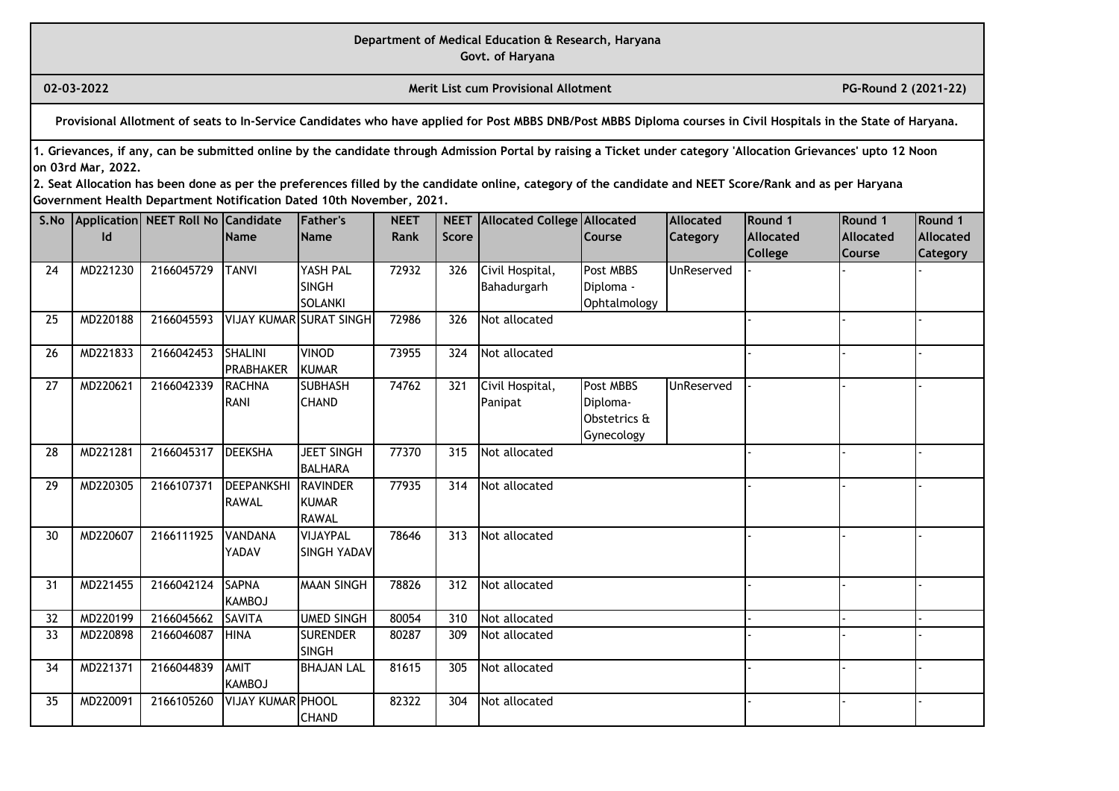**Govt. of Haryana**

**02-03-2022 Merit List cum Provisional Allotment PG-Round 2 (2021-22)** 

**Provisional Allotment of seats to In-Service Candidates who have applied for Post MBBS DNB/Post MBBS Diploma courses in Civil Hospitals in the State of Haryana.**

**1. Grievances, if any, can be submitted online by the candidate through Admission Portal by raising a Ticket under category 'Allocation Grievances' upto 12 Noon on 03rd Mar, 2022.**

| S.No |          | Application NEET Roll No Candidate |                          | Father's                       | <b>NEET</b> |       | NEET Allocated College Allocated |               | Allocated  | Round 1          | Round 1          | Round 1         |
|------|----------|------------------------------------|--------------------------|--------------------------------|-------------|-------|----------------------------------|---------------|------------|------------------|------------------|-----------------|
|      | Id       |                                    | Name                     | <b>Name</b>                    | <b>Rank</b> | Score |                                  | <b>Course</b> | Category   | <b>Allocated</b> | <b>Allocated</b> | Allocated       |
|      |          |                                    |                          |                                |             |       |                                  |               |            | College          | <b>Course</b>    | <b>Category</b> |
| 24   | MD221230 | 2166045729                         | <b>TANVI</b>             | YASH PAL                       | 72932       | 326   | Civil Hospital,                  | Post MBBS     | UnReserved |                  |                  |                 |
|      |          |                                    |                          | <b>SINGH</b>                   |             |       | Bahadurgarh                      | Diploma -     |            |                  |                  |                 |
|      |          |                                    |                          | <b>SOLANKI</b>                 |             |       |                                  | Ophtalmology  |            |                  |                  |                 |
| 25   | MD220188 | 2166045593                         |                          | <b>VIJAY KUMAR SURAT SINGH</b> | 72986       | 326   | Not allocated                    |               |            |                  |                  |                 |
| 26   | MD221833 | 2166042453                         | <b>SHALINI</b>           | <b>VINOD</b>                   | 73955       | 324   | Not allocated                    |               |            |                  |                  |                 |
|      |          |                                    | <b>PRABHAKER</b>         | <b>KUMAR</b>                   |             |       |                                  |               |            |                  |                  |                 |
| 27   | MD220621 | 2166042339                         | <b>RACHNA</b>            | <b>SUBHASH</b>                 | 74762       | 321   | Civil Hospital,                  | Post MBBS     | UnReserved |                  |                  |                 |
|      |          |                                    | <b>RANI</b>              | <b>CHAND</b>                   |             |       | Panipat                          | Diploma-      |            |                  |                  |                 |
|      |          |                                    |                          |                                |             |       |                                  | Obstetrics &  |            |                  |                  |                 |
|      |          |                                    |                          |                                |             |       |                                  | Gynecology    |            |                  |                  |                 |
| 28   | MD221281 | 2166045317                         | <b>DEEKSHA</b>           | <b>JEET SINGH</b>              | 77370       | 315   | Not allocated                    |               |            |                  |                  |                 |
|      |          |                                    |                          | <b>BALHARA</b>                 |             |       |                                  |               |            |                  |                  |                 |
| 29   | MD220305 | 2166107371                         | <b>DEEPANKSHI</b>        | <b>RAVINDER</b>                | 77935       | 314   | Not allocated                    |               |            |                  |                  |                 |
|      |          |                                    | <b>RAWAL</b>             | <b>KUMAR</b>                   |             |       |                                  |               |            |                  |                  |                 |
|      |          |                                    |                          | <b>RAWAL</b>                   |             |       |                                  |               |            |                  |                  |                 |
| 30   | MD220607 | 2166111925                         | <b>VANDANA</b>           | VIJAYPAL                       | 78646       | 313   | Not allocated                    |               |            |                  |                  |                 |
|      |          |                                    | YADAV                    | <b>SINGH YADAV</b>             |             |       |                                  |               |            |                  |                  |                 |
|      |          |                                    |                          |                                |             |       |                                  |               |            |                  |                  |                 |
| 31   | MD221455 | 2166042124                         | <b>SAPNA</b>             | <b>MAAN SINGH</b>              | 78826       | 312   | Not allocated                    |               |            |                  |                  |                 |
|      |          |                                    | KAMBOJ                   |                                |             |       |                                  |               |            |                  |                  |                 |
| 32   | MD220199 | 2166045662                         | <b>SAVITA</b>            | <b>UMED SINGH</b>              | 80054       | 310   | Not allocated                    |               |            |                  |                  |                 |
| 33   | MD220898 | 2166046087                         | <b>HINA</b>              | <b>SURENDER</b>                | 80287       | 309   | Not allocated                    |               |            |                  |                  |                 |
|      |          |                                    |                          | <b>SINGH</b>                   |             |       |                                  |               |            |                  |                  |                 |
| 34   | MD221371 | 2166044839                         | AMIT                     | <b>BHAJAN LAL</b>              | 81615       | 305   | Not allocated                    |               |            |                  |                  |                 |
|      |          |                                    | <b>KAMBOJ</b>            |                                |             |       |                                  |               |            |                  |                  |                 |
| 35   | MD220091 | 2166105260                         | <b>VIJAY KUMAR PHOOL</b> |                                | 82322       | 304   | Not allocated                    |               |            |                  |                  |                 |
|      |          |                                    |                          | <b>CHAND</b>                   |             |       |                                  |               |            |                  |                  |                 |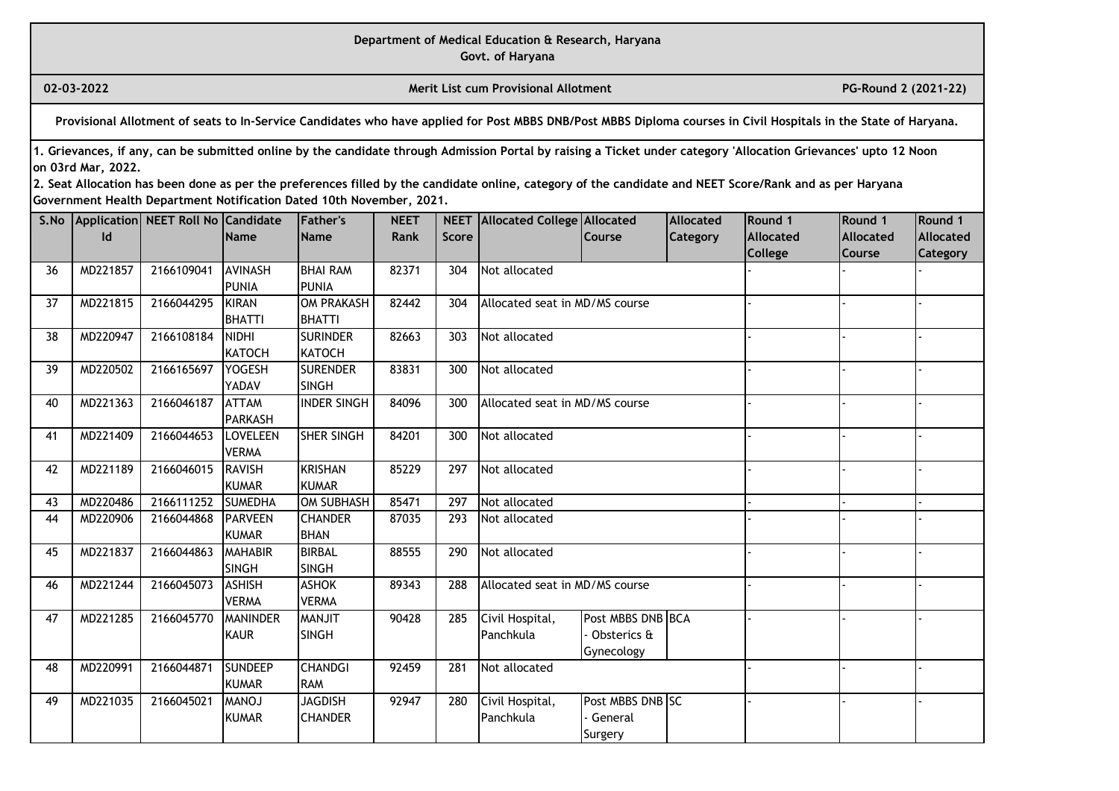**Govt. of Haryana**

**02-03-2022 Merit List cum Provisional Allotment PG-Round 2 (2021-22)** 

**Provisional Allotment of seats to In-Service Candidates who have applied for Post MBBS DNB/Post MBBS Diploma courses in Civil Hospitals in the State of Haryana.**

**1. Grievances, if any, can be submitted online by the candidate through Admission Portal by raising a Ticket under category 'Allocation Grievances' upto 12 Noon on 03rd Mar, 2022.**

| S.No |          | Application NEET Roll No Candidate |                        | <b>IFather's</b>          | <b>NEET</b> |              | <b>NEET</b> Allocated College Allocated |                   | <b>Allocated</b> | Round 1          | Round 1          | Round 1         |
|------|----------|------------------------------------|------------------------|---------------------------|-------------|--------------|-----------------------------------------|-------------------|------------------|------------------|------------------|-----------------|
|      | ld       |                                    | <b>Name</b>            | <b>Name</b>               | Rank        | <b>Score</b> |                                         | Course            | Category         | <b>Allocated</b> | <b>Allocated</b> | Allocated       |
|      |          |                                    |                        |                           |             |              |                                         |                   |                  | <b>College</b>   | Course           | <b>Category</b> |
| 36   | MD221857 | 2166109041                         | <b>AVINASH</b>         | <b>BHAI RAM</b>           | 82371       | 304          | Not allocated                           |                   |                  |                  |                  |                 |
|      |          |                                    | <b>PUNIA</b>           | PUNIA                     |             |              |                                         |                   |                  |                  |                  |                 |
| 37   | MD221815 | 2166044295                         | <b>KIRAN</b>           | <b>OM PRAKASH</b>         | 82442       | 304          | Allocated seat in MD/MS course          |                   |                  |                  |                  |                 |
|      |          |                                    | <b>BHATTI</b>          | <b>BHATTI</b>             |             |              |                                         |                   |                  |                  |                  |                 |
| 38   | MD220947 | 2166108184                         | <b>NIDHI</b>           | <b>SURINDER</b>           | 82663       | 303          | Not allocated                           |                   |                  |                  |                  |                 |
|      |          | 2166165697                         | <b>KATOCH</b>          | KATOCH<br><b>SURENDER</b> |             |              |                                         |                   |                  |                  |                  |                 |
| 39   | MD220502 |                                    | <b>YOGESH</b><br>YADAV | <b>SINGH</b>              | 83831       | 300          | Not allocated                           |                   |                  |                  |                  |                 |
| 40   | MD221363 | 2166046187                         | <b>ATTAM</b>           | <b>INDER SINGH</b>        | 84096       | 300          | Allocated seat in MD/MS course          |                   |                  |                  |                  |                 |
|      |          |                                    | <b>PARKASH</b>         |                           |             |              |                                         |                   |                  |                  |                  |                 |
| 41   | MD221409 | 2166044653                         | <b>LOVELEEN</b>        | <b>SHER SINGH</b>         | 84201       | 300          | Not allocated                           |                   |                  |                  |                  |                 |
|      |          |                                    | <b>VERMA</b>           |                           |             |              |                                         |                   |                  |                  |                  |                 |
| 42   | MD221189 | 2166046015                         | <b>RAVISH</b>          | KRISHAN                   | 85229       | 297          | Not allocated                           |                   |                  |                  |                  |                 |
|      |          |                                    | <b>KUMAR</b>           | <b>KUMAR</b>              |             |              |                                         |                   |                  |                  |                  |                 |
| 43   | MD220486 | 2166111252                         | <b>SUMEDHA</b>         | OM SUBHASH                | 85471       | 297          | Not allocated                           |                   |                  |                  |                  |                 |
| 44   | MD220906 | 2166044868                         | <b>IPARVEEN</b>        | <b>CHANDER</b>            | 87035       | 293          | Not allocated                           |                   |                  |                  |                  |                 |
|      |          |                                    | <b>KUMAR</b>           | <b>BHAN</b>               |             |              |                                         |                   |                  |                  |                  |                 |
| 45   | MD221837 | 2166044863                         | <b>MAHABIR</b>         | <b>BIRBAL</b>             | 88555       | 290          | Not allocated                           |                   |                  |                  |                  |                 |
|      |          |                                    | <b>SINGH</b>           | <b>SINGH</b>              |             |              |                                         |                   |                  |                  |                  |                 |
| 46   | MD221244 | 2166045073                         | <b>ASHISH</b>          | <b>ASHOK</b>              | 89343       | 288          | Allocated seat in MD/MS course          |                   |                  |                  |                  |                 |
|      |          |                                    | <b>VERMA</b>           | <b>VERMA</b>              |             |              |                                         |                   |                  |                  |                  |                 |
| 47   | MD221285 | 2166045770                         | <b>MANINDER</b>        | <b>MANJIT</b>             | 90428       | 285          | Civil Hospital,                         | Post MBBS DNB BCA |                  |                  |                  |                 |
|      |          |                                    | <b>KAUR</b>            | <b>SINGH</b>              |             |              | Panchkula                               | Obsterics &       |                  |                  |                  |                 |
|      |          |                                    |                        |                           |             |              |                                         | Gynecology        |                  |                  |                  |                 |
| 48   | MD220991 | 2166044871                         | <b>SUNDEEP</b>         | <b>CHANDGI</b>            | 92459       | 281          | Not allocated                           |                   |                  |                  |                  |                 |
|      |          |                                    | <b>KUMAR</b>           | <b>RAM</b>                |             |              |                                         |                   |                  |                  |                  |                 |
| 49   | MD221035 | 2166045021                         | <b>MANOJ</b>           | JAGDISH                   | 92947       | 280          | Civil Hospital,                         | Post MBBS DNB SC  |                  |                  |                  |                 |
|      |          |                                    | <b>KUMAR</b>           | <b>I</b> CHANDER          |             |              | Panchkula                               | General           |                  |                  |                  |                 |
|      |          |                                    |                        |                           |             |              |                                         | Surgery           |                  |                  |                  |                 |